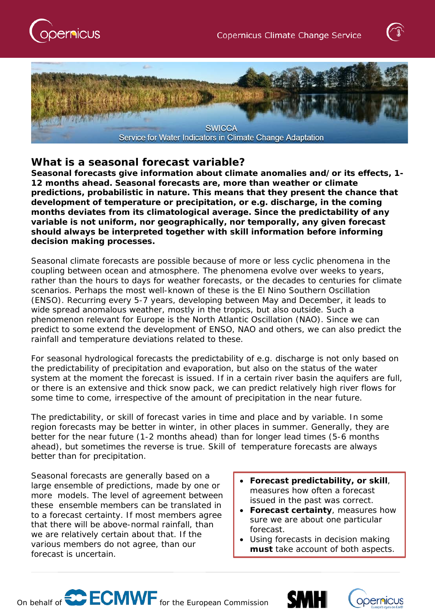





## **What is a seasonal forecast variable?**

**Seasonal forecasts give information about climate** *anomalies* **and/or its effects, 1- 12 months ahead. Seasonal forecasts are, more than weather or climate predictions, probabilistic in nature. This means that they present the chance that development of temperature or precipitation, or e.g. discharge, in the coming months deviates from its climatological average. Since the predictability of any variable is not uniform, nor geographically, nor temporally, any given forecast should always be interpreted together with skill information before informing decision making processes.**

Seasonal *climate* forecasts are possible because of more or less cyclic phenomena in the coupling between ocean and atmosphere. The phenomena evolve over weeks to years, rather than the hours to days for weather forecasts, or the decades to centuries for climate scenarios. Perhaps the most well-known of these is the El Nino Southern Oscillation (ENSO). Recurring every 5-7 years, developing between May and December, it leads to wide spread anomalous weather, mostly in the tropics, but also outside. Such a phenomenon relevant for Europe is the North Atlantic Oscillation (NAO). Since we can predict to some extend the development of ENSO, NAO and others, we can also predict the rainfall and temperature deviations related to these.

For seasonal *hydrological* forecasts the predictability of e.g. discharge is not only based on the predictability of precipitation and evaporation, but also on the status of the water system at the moment the forecast is issued. If in a certain river basin the aquifers are full, or there is an extensive and thick snow pack, we can predict relatively high river flows for some time to come, irrespective of the amount of precipitation in the near future.

The predictability, or skill of forecast varies in time and place and by variable. In some region forecasts may be better in winter, in other places in summer. Generally, they are better for the near future (1-2 months ahead) than for longer lead times (5-6 months ahead), but sometimes the reverse is true. Skill of temperature forecasts are always better than for precipitation.

Seasonal forecasts are generally based on a large ensemble of predictions, made by one or more models. The level of agreement between these ensemble members can be translated in to a forecast certainty. If most members agree that there will be above-normal rainfall, than we are relatively certain about that. If the various members do not agree, than our forecast is uncertain.

- **Forecast predictability, or skill**, measures how often a forecast issued in the past was correct.
- **Forecast certainty**, measures how sure we are about one particular forecast.
- Using forecasts in decision making **must** take account of both aspects.





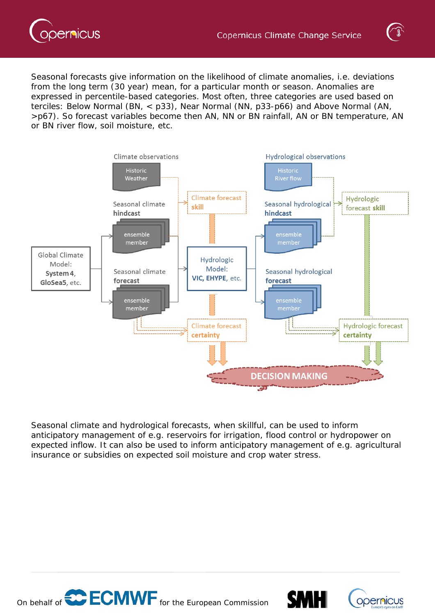



Seasonal forecasts give information on the likelihood of climate anomalies, i.e. deviations from the long term (30 year) mean, for a particular month or season. Anomalies are expressed in percentile-based categories. Most often, three categories are used based on terciles: Below Normal (BN, < p33), Near Normal (NN, p33-p66) and Above Normal (AN, >p67). So forecast variables become then AN, NN or BN rainfall, AN or BN temperature, AN or BN river flow, soil moisture, etc.



Seasonal climate and hydrological forecasts, when skillful, can be used to inform anticipatory management of e.g. reservoirs for irrigation, flood control or hydropower on expected inflow. It can also be used to inform anticipatory management of e.g. agricultural insurance or subsidies on expected soil moisture and crop water stress.





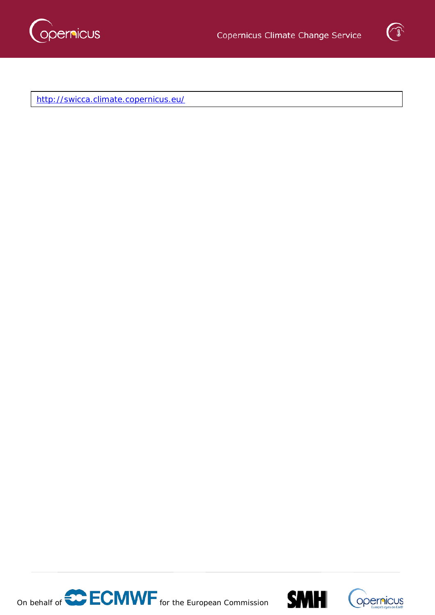



<http://swicca.climate.copernicus.eu/>